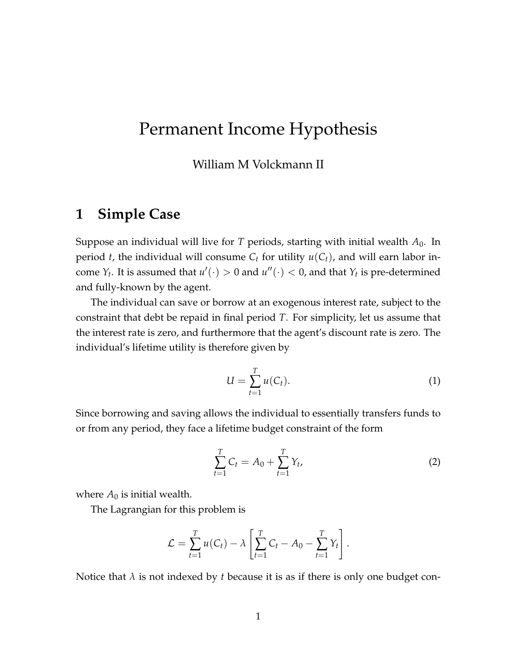# Permanent Income Hypothesis

William M Volckmann II

# **1 Simple Case**

Suppose an individual will live for *T* periods, starting with initial wealth *A*0. In period *t*, the individual will consume  $C_t$  for utility  $u(C_t)$ , and will earn labor income  $Y_t$ . It is assumed that  $u'(\cdot) > 0$  and  $u''(\cdot) < 0$ , and that  $Y_t$  is pre-determined and fully-known by the agent.

The individual can save or borrow at an exogenous interest rate, subject to the constraint that debt be repaid in final period *T*. For simplicity, let us assume that the interest rate is zero, and furthermore that the agent's discount rate is zero. The individual's lifetime utility is therefore given by

$$
U = \sum_{t=1}^{T} u(C_t). \tag{1}
$$

Since borrowing and saving allows the individual to essentially transfers funds to or from any period, they face a lifetime budget constraint of the form

$$
\sum_{t=1}^{T} C_t = A_0 + \sum_{t=1}^{T} Y_t,
$$
\n(2)

where  $A_0$  is initial wealth.

The Lagrangian for this problem is

$$
\mathcal{L} = \sum_{t=1}^T u(C_t) - \lambda \left[ \sum_{t=1}^T C_t - A_0 - \sum_{t=1}^T Y_t \right].
$$

Notice that *λ* is not indexed by *t* because it is as if there is only one budget con-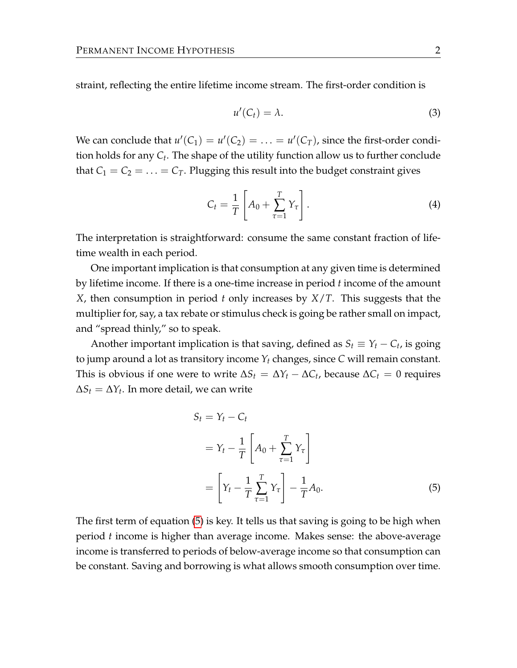straint, reflecting the entire lifetime income stream. The first-order condition is

$$
u'(C_t) = \lambda. \tag{3}
$$

We can conclude that  $u'(C_1) = u'(C_2) = \ldots = u'(C_T)$ , since the first-order condition holds for any *C<sup>t</sup>* . The shape of the utility function allow us to further conclude that  $C_1 = C_2 = \ldots = C_T$ . Plugging this result into the budget constraint gives

$$
C_t = \frac{1}{T} \left[ A_0 + \sum_{\tau=1}^T Y_\tau \right]. \tag{4}
$$

The interpretation is straightforward: consume the same constant fraction of lifetime wealth in each period.

One important implication is that consumption at any given time is determined by lifetime income. If there is a one-time increase in period *t* income of the amount *X*, then consumption in period *t* only increases by *X*/*T*. This suggests that the multiplier for, say, a tax rebate or stimulus check is going be rather small on impact, and "spread thinly," so to speak.

Another important implication is that saving, defined as  $S_t \equiv Y_t - C_t$ , is going to jump around a lot as transitory income  $Y_t$  changes, since  $C$  will remain constant. This is obvious if one were to write  $\Delta S_t = \Delta Y_t - \Delta C_t$ , because  $\Delta C_t = 0$  requires  $\Delta S_t = \Delta Y_t$ . In more detail, we can write

<span id="page-1-0"></span>
$$
S_t = Y_t - C_t
$$
  
=  $Y_t - \frac{1}{T} \left[ A_0 + \sum_{\tau=1}^T Y_\tau \right]$   
=  $\left[ Y_t - \frac{1}{T} \sum_{\tau=1}^T Y_\tau \right] - \frac{1}{T} A_0.$  (5)

The first term of equation [\(5\)](#page-1-0) is key. It tells us that saving is going to be high when period *t* income is higher than average income. Makes sense: the above-average income is transferred to periods of below-average income so that consumption can be constant. Saving and borrowing is what allows smooth consumption over time.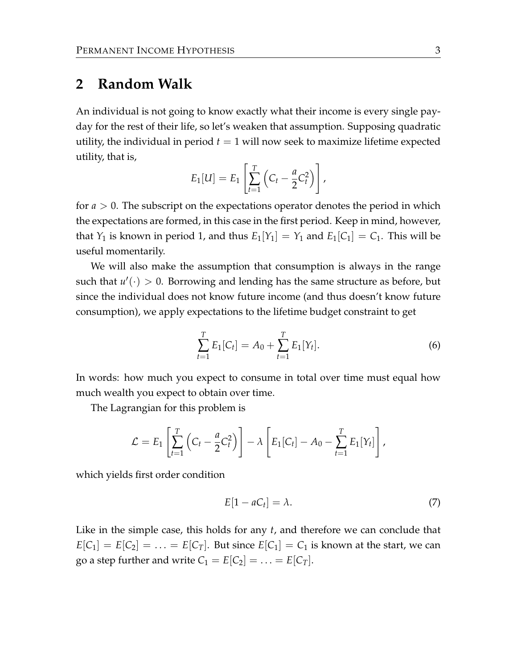### **2 Random Walk**

An individual is not going to know exactly what their income is every single payday for the rest of their life, so let's weaken that assumption. Supposing quadratic utility, the individual in period  $t = 1$  will now seek to maximize lifetime expected utility, that is,

$$
E_1[U] = E_1\left[\sum_{t=1}^T \left(C_t - \frac{a}{2}C_t^2\right)\right],
$$

for *a* > 0. The subscript on the expectations operator denotes the period in which the expectations are formed, in this case in the first period. Keep in mind, however, that *Y*<sub>1</sub> is known in period 1, and thus  $E_1[Y_1] = Y_1$  and  $E_1[C_1] = C_1$ . This will be useful momentarily.

We will also make the assumption that consumption is always in the range such that  $u'(\cdot) > 0$ . Borrowing and lending has the same structure as before, but since the individual does not know future income (and thus doesn't know future consumption), we apply expectations to the lifetime budget constraint to get

$$
\sum_{t=1}^{T} E_1[C_t] = A_0 + \sum_{t=1}^{T} E_1[Y_t].
$$
\n(6)

In words: how much you expect to consume in total over time must equal how much wealth you expect to obtain over time.

The Lagrangian for this problem is

$$
\mathcal{L}=E_1\left[\sum_{t=1}^T\left(C_t-\frac{a}{2}C_t^2\right)\right]-\lambda\left[E_1[C_t]-A_0-\sum_{t=1}^TE_1[Y_t]\right],
$$

which yields first order condition

$$
E[1 - aC_t] = \lambda. \tag{7}
$$

Like in the simple case, this holds for any *t*, and therefore we can conclude that  $E[C_1] = E[C_2] = \ldots = E[C_T]$ . But since  $E[C_1] = C_1$  is known at the start, we can go a step further and write  $C_1 = E[C_2] = \ldots = E[C_T]$ .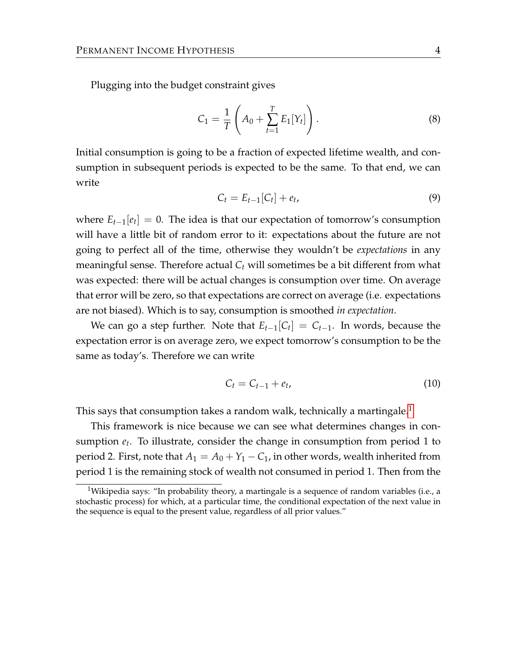Plugging into the budget constraint gives

<span id="page-3-1"></span>
$$
C_1 = \frac{1}{T} \left( A_0 + \sum_{t=1}^T E_1[Y_t] \right).
$$
 (8)

Initial consumption is going to be a fraction of expected lifetime wealth, and consumption in subsequent periods is expected to be the same. To that end, we can write

$$
C_t = E_{t-1}[C_t] + e_t, \t\t(9)
$$

where  $E_{t-1}[e_t] = 0$ . The idea is that our expectation of tomorrow's consumption will have a little bit of random error to it: expectations about the future are not going to perfect all of the time, otherwise they wouldn't be *expectations* in any meaningful sense. Therefore actual *C<sup>t</sup>* will sometimes be a bit different from what was expected: there will be actual changes is consumption over time. On average that error will be zero, so that expectations are correct on average (i.e. expectations are not biased). Which is to say, consumption is smoothed *in expectation*.

We can go a step further. Note that  $E_{t-1}[C_t] = C_{t-1}$ . In words, because the expectation error is on average zero, we expect tomorrow's consumption to be the same as today's. Therefore we can write

$$
C_t = C_{t-1} + e_t,\tag{10}
$$

This says that consumption takes a random walk, technically a martingale.<sup>[1](#page-3-0)</sup>

This framework is nice because we can see what determines changes in consumption *e<sup>t</sup>* . To illustrate, consider the change in consumption from period 1 to period 2. First, note that  $A_1 = A_0 + Y_1 - C_1$ , in other words, wealth inherited from period 1 is the remaining stock of wealth not consumed in period 1. Then from the

<span id="page-3-0"></span><sup>&</sup>lt;sup>1</sup>Wikipedia says: "In probability theory, a martingale is a sequence of random variables (i.e., a stochastic process) for which, at a particular time, the conditional expectation of the next value in the sequence is equal to the present value, regardless of all prior values."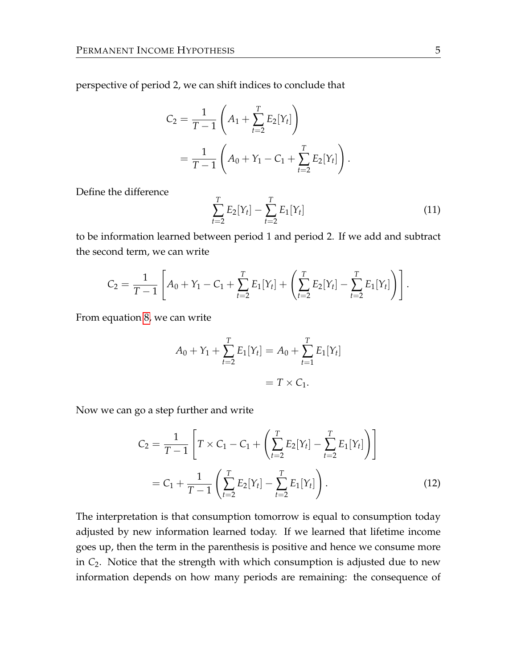perspective of period 2, we can shift indices to conclude that

$$
C_2 = \frac{1}{T-1} \left( A_1 + \sum_{t=2}^T E_2[Y_t] \right)
$$
  
= 
$$
\frac{1}{T-1} \left( A_0 + Y_1 - C_1 + \sum_{t=2}^T E_2[Y_t] \right).
$$

Define the difference

$$
\sum_{t=2}^{T} E_2[Y_t] - \sum_{t=2}^{T} E_1[Y_t]
$$
\n(11)

to be information learned between period 1 and period 2. If we add and subtract the second term, we can write

$$
C_2 = \frac{1}{T-1} \left[ A_0 + Y_1 - C_1 + \sum_{t=2}^T E_1[Y_t] + \left( \sum_{t=2}^T E_2[Y_t] - \sum_{t=2}^T E_1[Y_t] \right) \right].
$$

From equation [8,](#page-3-1) we can write

$$
A_0 + Y_1 + \sum_{t=2}^{T} E_1[Y_t] = A_0 + \sum_{t=1}^{T} E_1[Y_t]
$$
  
=  $T \times C_1$ .

Now we can go a step further and write

$$
C_2 = \frac{1}{T-1} \left[ T \times C_1 - C_1 + \left( \sum_{t=2}^T E_2[Y_t] - \sum_{t=2}^T E_1[Y_t] \right) \right]
$$
  
=  $C_1 + \frac{1}{T-1} \left( \sum_{t=2}^T E_2[Y_t] - \sum_{t=2}^T E_1[Y_t] \right).$  (12)

The interpretation is that consumption tomorrow is equal to consumption today adjusted by new information learned today. If we learned that lifetime income goes up, then the term in the parenthesis is positive and hence we consume more in *C*2. Notice that the strength with which consumption is adjusted due to new information depends on how many periods are remaining: the consequence of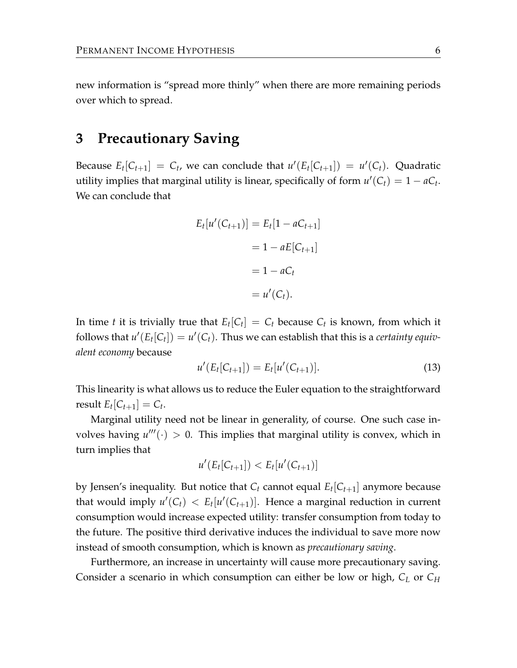new information is "spread more thinly" when there are more remaining periods over which to spread.

# **3 Precautionary Saving**

Because  $E_t[C_{t+1}] = C_t$ , we can conclude that  $u'(E_t[C_{t+1}]) = u'(C_t)$ . Quadratic utility implies that marginal utility is linear, specifically of form  $u'(C_t) = 1 - aC_t$ . We can conclude that

$$
E_t[u'(C_{t+1})] = E_t[1 - aC_{t+1}]
$$

$$
= 1 - aE[C_{t+1}]
$$

$$
= 1 - aC_t
$$

$$
= u'(C_t).
$$

In time *t* it is trivially true that  $E_t[C_t] = C_t$  because  $C_t$  is known, from which it follows that  $u'(E_t[C_t]) = u'(C_t)$ . Thus we can establish that this is a *certainty equivalent economy* because

$$
u'(E_t[C_{t+1}]) = E_t[u'(C_{t+1})]. \tag{13}
$$

This linearity is what allows us to reduce the Euler equation to the straightforward result  $E_t[C_{t+1}] = C_t$ .

Marginal utility need not be linear in generality, of course. One such case involves having  $u'''(.) > 0$ . This implies that marginal utility is convex, which in turn implies that

$$
u'(E_t[C_{t+1}]) < E_t[u'(C_{t+1})]
$$

by Jensen's inequality. But notice that *C<sup>t</sup>* cannot equal *E<sup>t</sup>* [*Ct*+1] anymore because that would imply  $u'(C_t) < E_t[u'(C_{t+1})]$ . Hence a marginal reduction in current consumption would increase expected utility: transfer consumption from today to the future. The positive third derivative induces the individual to save more now instead of smooth consumption, which is known as *precautionary saving*.

Furthermore, an increase in uncertainty will cause more precautionary saving. Consider a scenario in which consumption can either be low or high, *C<sup>L</sup>* or *C<sup>H</sup>*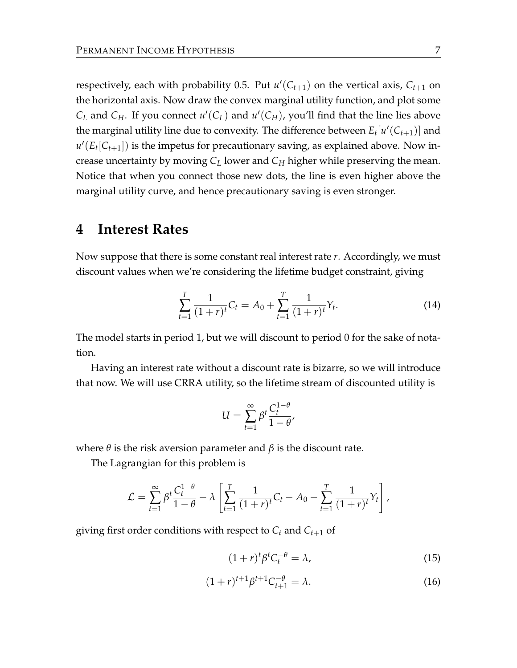respectively, each with probability 0.5. Put  $u'(C_{t+1})$  on the vertical axis,  $C_{t+1}$  on the horizontal axis. Now draw the convex marginal utility function, and plot some  $C_L$  and  $C_H$ . If you connect  $u'(C_L)$  and  $u'(C_H)$ , you'll find that the line lies above the marginal utility line due to convexity. The difference between  $E_t[u'(C_{t+1})]$  and  $u'(E_t[C_{t+1}])$  is the impetus for precautionary saving, as explained above. Now increase uncertainty by moving *C<sup>L</sup>* lower and *C<sup>H</sup>* higher while preserving the mean. Notice that when you connect those new dots, the line is even higher above the marginal utility curve, and hence precautionary saving is even stronger.

#### **4 Interest Rates**

Now suppose that there is some constant real interest rate *r*. Accordingly, we must discount values when we're considering the lifetime budget constraint, giving

$$
\sum_{t=1}^{T} \frac{1}{(1+r)^t} C_t = A_0 + \sum_{t=1}^{T} \frac{1}{(1+r)^t} Y_t.
$$
 (14)

The model starts in period 1, but we will discount to period 0 for the sake of notation.

Having an interest rate without a discount rate is bizarre, so we will introduce that now. We will use CRRA utility, so the lifetime stream of discounted utility is

$$
U = \sum_{t=1}^{\infty} \beta^t \frac{C_t^{1-\theta}}{1-\theta},
$$

where  $\theta$  is the risk aversion parameter and  $\beta$  is the discount rate.

The Lagrangian for this problem is

$$
\mathcal{L} = \sum_{t=1}^{\infty} \beta^t \frac{C_t^{1-\theta}}{1-\theta} - \lambda \left[ \sum_{t=1}^T \frac{1}{(1+r)^t} C_t - A_0 - \sum_{t=1}^T \frac{1}{(1+r)^t} Y_t \right],
$$

giving first order conditions with respect to *C<sup>t</sup>* and *Ct*+<sup>1</sup> of

$$
(1+r)^t \beta^t C_t^{-\theta} = \lambda,\tag{15}
$$

$$
(1+r)^{t+1}\beta^{t+1}C_{t+1}^{-\theta} = \lambda.
$$
 (16)